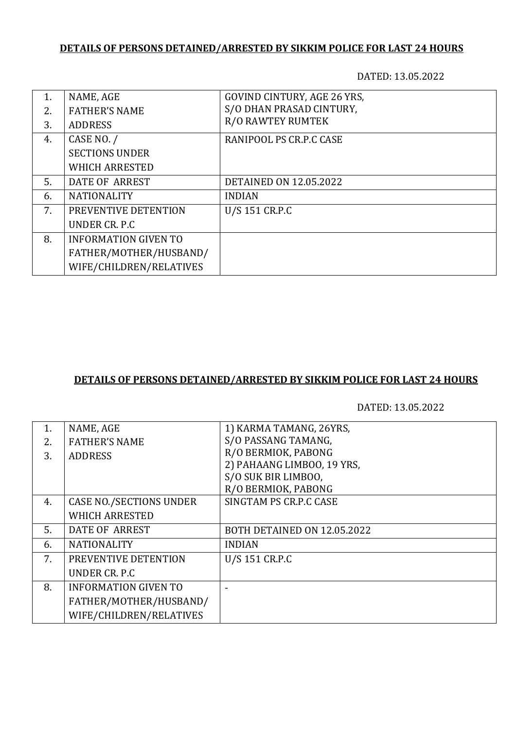# **DETAILS OF PERSONS DETAINED/ARRESTED BY SIKKIM POLICE FOR LAST 24 HOURS**

DATED: 13.05.2022

| 1. | NAME, AGE                   | <b>GOVIND CINTURY, AGE 26 YRS,</b> |
|----|-----------------------------|------------------------------------|
| 2. | <b>FATHER'S NAME</b>        | S/O DHAN PRASAD CINTURY,           |
| 3. | <b>ADDRESS</b>              | <b>R/O RAWTEY RUMTEK</b>           |
| 4. | CASE NO. /                  | RANIPOOL PS CR.P.C CASE            |
|    | <b>SECTIONS UNDER</b>       |                                    |
|    | <b>WHICH ARRESTED</b>       |                                    |
| 5. | DATE OF ARREST              | <b>DETAINED ON 12.05.2022</b>      |
| 6. | <b>NATIONALITY</b>          | <b>INDIAN</b>                      |
| 7. | PREVENTIVE DETENTION        | U/S 151 CR.P.C                     |
|    | UNDER CR. P.C.              |                                    |
| 8. | <b>INFORMATION GIVEN TO</b> |                                    |
|    | FATHER/MOTHER/HUSBAND/      |                                    |
|    | WIFE/CHILDREN/RELATIVES     |                                    |

## **DETAILS OF PERSONS DETAINED/ARRESTED BY SIKKIM POLICE FOR LAST 24 HOURS**

DATED: 13.05.2022

| 1. | NAME, AGE                      | 1) KARMA TAMANG, 26YRS,     |
|----|--------------------------------|-----------------------------|
| 2. | <b>FATHER'S NAME</b>           | S/O PASSANG TAMANG,         |
| 3. | <b>ADDRESS</b>                 | R/O BERMIOK, PABONG         |
|    |                                | 2) PAHAANG LIMBOO, 19 YRS,  |
|    |                                | S/O SUK BIR LIMBOO,         |
|    |                                | R/O BERMIOK, PABONG         |
| 4. | <b>CASE NO./SECTIONS UNDER</b> | SINGTAM PS CR.P.C CASE      |
|    | <b>WHICH ARRESTED</b>          |                             |
| 5. | <b>DATE OF ARREST</b>          | BOTH DETAINED ON 12.05.2022 |
| 6. | <b>NATIONALITY</b>             | <b>INDIAN</b>               |
| 7. | PREVENTIVE DETENTION           | U/S 151 CR.P.C              |
|    | UNDER CR. P.C.                 |                             |
| 8. | <b>INFORMATION GIVEN TO</b>    |                             |
|    | FATHER/MOTHER/HUSBAND/         |                             |
|    | WIFE/CHILDREN/RELATIVES        |                             |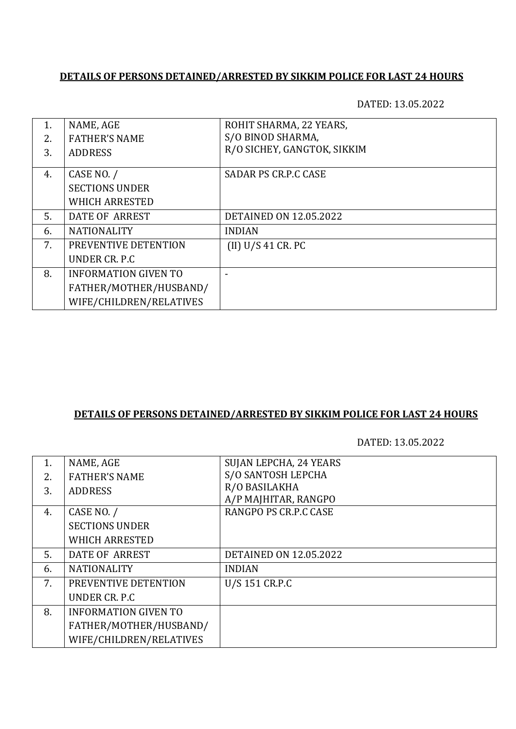#### **DETAILS OF PERSONS DETAINED/ARRESTED BY SIKKIM POLICE FOR LAST 24 HOURS**

DATED: 13.05.2022

| 1. | NAME, AGE                   | ROHIT SHARMA, 22 YEARS,       |
|----|-----------------------------|-------------------------------|
| 2. | <b>FATHER'S NAME</b>        | S/O BINOD SHARMA,             |
| 3. | <b>ADDRESS</b>              | R/O SICHEY, GANGTOK, SIKKIM   |
| 4. | CASE NO. /                  | <b>SADAR PS CR.P.C CASE</b>   |
|    | <b>SECTIONS UNDER</b>       |                               |
|    | <b>WHICH ARRESTED</b>       |                               |
| 5. | DATE OF ARREST              | <b>DETAINED ON 12.05.2022</b> |
| 6. | <b>NATIONALITY</b>          | <b>INDIAN</b>                 |
| 7. | PREVENTIVE DETENTION        | (II) U/S 41 CR. PC            |
|    | UNDER CR. P.C.              |                               |
| 8. | <b>INFORMATION GIVEN TO</b> |                               |
|    | FATHER/MOTHER/HUSBAND/      |                               |
|    | WIFE/CHILDREN/RELATIVES     |                               |

### **DETAILS OF PERSONS DETAINED/ARRESTED BY SIKKIM POLICE FOR LAST 24 HOURS**

DATED: 13.05.2022

| 1. | NAME, AGE                   | SUJAN LEPCHA, 24 YEARS        |
|----|-----------------------------|-------------------------------|
| 2. | <b>FATHER'S NAME</b>        | S/O SANTOSH LEPCHA            |
| 3. | <b>ADDRESS</b>              | R/O BASILAKHA                 |
|    |                             | A/P MAJHITAR, RANGPO          |
| 4. | CASE NO. /                  | RANGPO PS CR.P.C CASE         |
|    | <b>SECTIONS UNDER</b>       |                               |
|    | <b>WHICH ARRESTED</b>       |                               |
| 5. | DATE OF ARREST              | <b>DETAINED ON 12.05.2022</b> |
| 6. | <b>NATIONALITY</b>          | <b>INDIAN</b>                 |
| 7. | PREVENTIVE DETENTION        | U/S 151 CR.P.C                |
|    | UNDER CR. P.C.              |                               |
| 8. | <b>INFORMATION GIVEN TO</b> |                               |
|    | FATHER/MOTHER/HUSBAND/      |                               |
|    | WIFE/CHILDREN/RELATIVES     |                               |